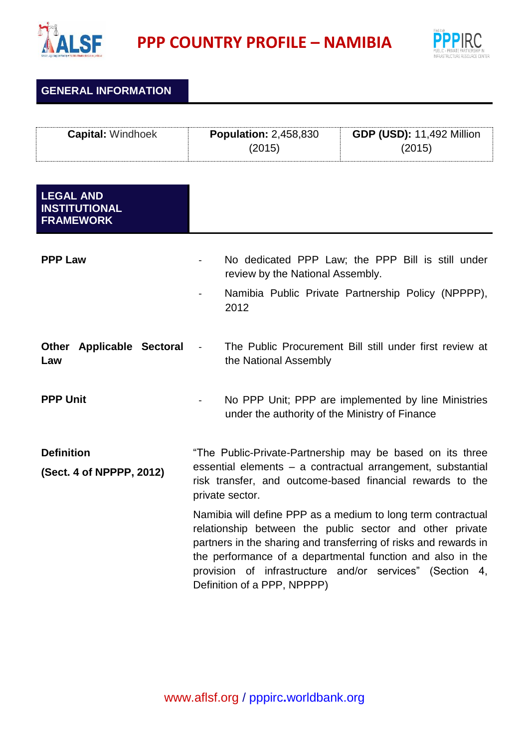

**PPP COUNTRY PROFILE – NAMIBIA**



**GENERAL INFORMATION**

| <b>Capital: Windhoek</b> | <b>Population: 2,458,830</b> | <b>GDP (USD): 11,492 Million</b> |
|--------------------------|------------------------------|----------------------------------|
|                          | (2015)                       | (2015)                           |

| <b>LEGAL AND</b><br><b>INSTITUTIONAL</b><br><b>FRAMEWORK</b> |                                                                                                                                                                                                                                                                                                                                                       |
|--------------------------------------------------------------|-------------------------------------------------------------------------------------------------------------------------------------------------------------------------------------------------------------------------------------------------------------------------------------------------------------------------------------------------------|
| <b>PPP Law</b>                                               | No dedicated PPP Law; the PPP Bill is still under<br>review by the National Assembly.<br>Namibia Public Private Partnership Policy (NPPPP),<br>2012                                                                                                                                                                                                   |
| <b>Other Applicable Sectoral</b><br>Law                      | The Public Procurement Bill still under first review at<br>the National Assembly                                                                                                                                                                                                                                                                      |
| <b>PPP Unit</b>                                              | No PPP Unit; PPP are implemented by line Ministries<br>under the authority of the Ministry of Finance                                                                                                                                                                                                                                                 |
| <b>Definition</b><br>(Sect. 4 of NPPPP, 2012)                | "The Public-Private-Partnership may be based on its three<br>essential elements - a contractual arrangement, substantial<br>risk transfer, and outcome-based financial rewards to the<br>private sector.                                                                                                                                              |
|                                                              | Namibia will define PPP as a medium to long term contractual<br>relationship between the public sector and other private<br>partners in the sharing and transferring of risks and rewards in<br>the performance of a departmental function and also in the<br>provision of infrastructure and/or services" (Section 4,<br>Definition of a PPP, NPPPP) |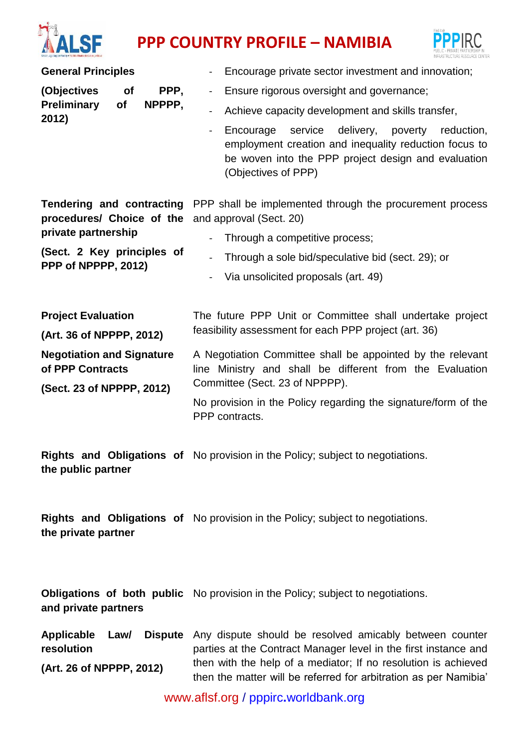

## **PPP** COUNTRY PROFILE – NAMIBIA



| <b>General Principles</b>                                                                                                          | Encourage private sector investment and innovation;                                                                                                                                                        |  |
|------------------------------------------------------------------------------------------------------------------------------------|------------------------------------------------------------------------------------------------------------------------------------------------------------------------------------------------------------|--|
| (Objectives<br>PPP,<br><b>of</b><br>Preliminary<br>of<br>NPPPP,<br>2012)                                                           | Ensure rigorous oversight and governance;<br>$\blacksquare$                                                                                                                                                |  |
|                                                                                                                                    | Achieve capacity development and skills transfer,<br>$\blacksquare$                                                                                                                                        |  |
|                                                                                                                                    | Encourage service delivery, poverty<br>reduction,<br>$\blacksquare$<br>employment creation and inequality reduction focus to<br>be woven into the PPP project design and evaluation<br>(Objectives of PPP) |  |
| Tendering and contracting<br>procedures/ Choice of the<br>private partnership<br>(Sect. 2 Key principles of<br>PPP of NPPPP, 2012) | PPP shall be implemented through the procurement process<br>and approval (Sect. 20)                                                                                                                        |  |
|                                                                                                                                    | Through a competitive process;                                                                                                                                                                             |  |
|                                                                                                                                    | Through a sole bid/speculative bid (sect. 29); or<br>$\overline{a}$                                                                                                                                        |  |
|                                                                                                                                    | Via unsolicited proposals (art. 49)<br>$\blacksquare$                                                                                                                                                      |  |
| <b>Project Evaluation</b>                                                                                                          | The future PPP Unit or Committee shall undertake project                                                                                                                                                   |  |
| (Art. 36 of NPPPP, 2012)                                                                                                           | feasibility assessment for each PPP project (art. 36)                                                                                                                                                      |  |
| <b>Negotiation and Signature</b><br>of PPP Contracts<br>(Sect. 23 of NPPPP, 2012)                                                  | A Negotiation Committee shall be appointed by the relevant<br>line Ministry and shall be different from the Evaluation<br>Committee (Sect. 23 of NPPPP).                                                   |  |
|                                                                                                                                    | No provision in the Policy regarding the signature/form of the<br>PPP contracts.                                                                                                                           |  |
| the public partner                                                                                                                 | Rights and Obligations of No provision in the Policy; subject to negotiations.                                                                                                                             |  |
| the private partner                                                                                                                | Rights and Obligations of No provision in the Policy; subject to negotiations.                                                                                                                             |  |
| and private partners                                                                                                               | Obligations of both public No provision in the Policy; subject to negotiations.                                                                                                                            |  |
| <b>Applicable</b><br><b>Dispute</b><br>Law/<br>resolution                                                                          | Any dispute should be resolved amicably between counter<br>parties at the Contract Manager level in the first instance and<br>then with the help of a mediator; If no resolution is achieved               |  |
| (Art. 26 of NPPPP, 2012)                                                                                                           | then the matter will be referred for arbitration as per Namibia'                                                                                                                                           |  |

[www.aflsf.org](http://www.aflsf.org/) / pppirc**.**[worldbank.org](https://ppp.worldbank.org/public-private-partnership/)